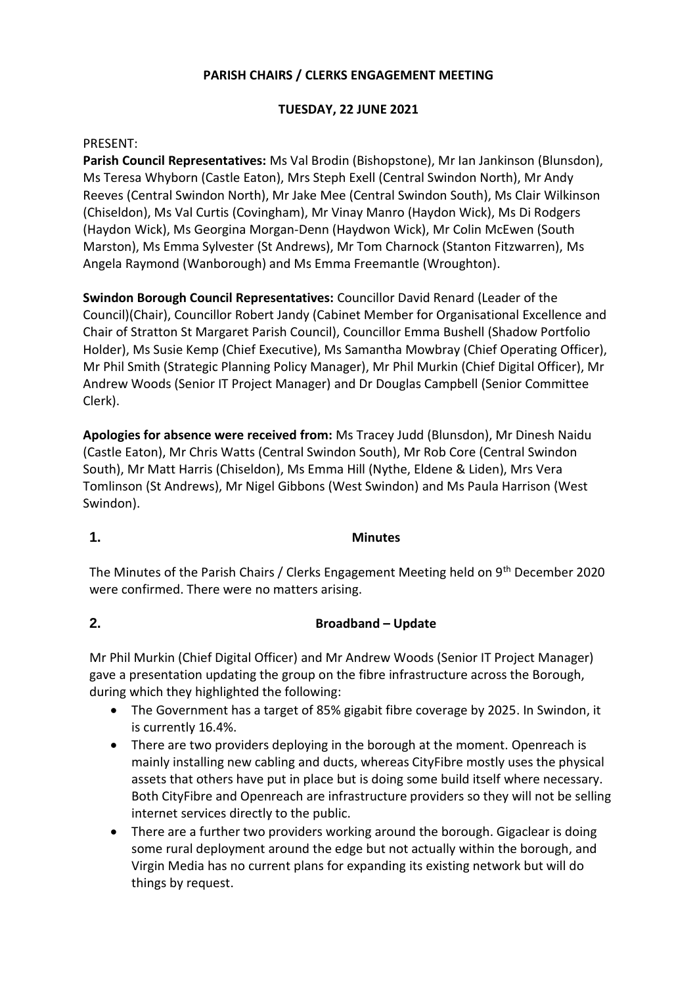# **PARISH CHAIRS / CLERKS ENGAGEMENT MEETING**

## **TUESDAY, 22 JUNE 2021**

#### PRESENT:

**Parish Council Representatives:** Ms Val Brodin (Bishopstone), Mr Ian Jankinson (Blunsdon), Ms Teresa Whyborn (Castle Eaton), Mrs Steph Exell (Central Swindon North), Mr Andy Reeves (Central Swindon North), Mr Jake Mee (Central Swindon South), Ms Clair Wilkinson (Chiseldon), Ms Val Curtis (Covingham), Mr Vinay Manro (Haydon Wick), Ms Di Rodgers (Haydon Wick), Ms Georgina Morgan-Denn (Haydwon Wick), Mr Colin McEwen (South Marston), Ms Emma Sylvester (St Andrews), Mr Tom Charnock (Stanton Fitzwarren), Ms Angela Raymond (Wanborough) and Ms Emma Freemantle (Wroughton).

**Swindon Borough Council Representatives:** Councillor David Renard (Leader of the Council)(Chair), Councillor Robert Jandy (Cabinet Member for Organisational Excellence and Chair of Stratton St Margaret Parish Council), Councillor Emma Bushell (Shadow Portfolio Holder), Ms Susie Kemp (Chief Executive), Ms Samantha Mowbray (Chief Operating Officer), Mr Phil Smith (Strategic Planning Policy Manager), Mr Phil Murkin (Chief Digital Officer), Mr Andrew Woods (Senior IT Project Manager) and Dr Douglas Campbell (Senior Committee Clerk).

**Apologies for absence were received from:** Ms Tracey Judd (Blunsdon), Mr Dinesh Naidu (Castle Eaton), Mr Chris Watts (Central Swindon South), Mr Rob Core (Central Swindon South), Mr Matt Harris (Chiseldon), Ms Emma Hill (Nythe, Eldene & Liden), Mrs Vera Tomlinson (St Andrews), Mr Nigel Gibbons (West Swindon) and Ms Paula Harrison (West Swindon).

#### **1. Minutes**

The Minutes of the Parish Chairs / Clerks Engagement Meeting held on 9<sup>th</sup> December 2020 were confirmed. There were no matters arising.

### **2. Broadband – Update**

Mr Phil Murkin (Chief Digital Officer) and Mr Andrew Woods (Senior IT Project Manager) gave a presentation updating the group on the fibre infrastructure across the Borough, during which they highlighted the following:

- The Government has a target of 85% gigabit fibre coverage by 2025. In Swindon, it is currently 16.4%.
- There are two providers deploying in the borough at the moment. Openreach is mainly installing new cabling and ducts, whereas CityFibre mostly uses the physical assets that others have put in place but is doing some build itself where necessary. Both CityFibre and Openreach are infrastructure providers so they will not be selling internet services directly to the public.
- There are a further two providers working around the borough. Gigaclear is doing some rural deployment around the edge but not actually within the borough, and Virgin Media has no current plans for expanding its existing network but will do things by request.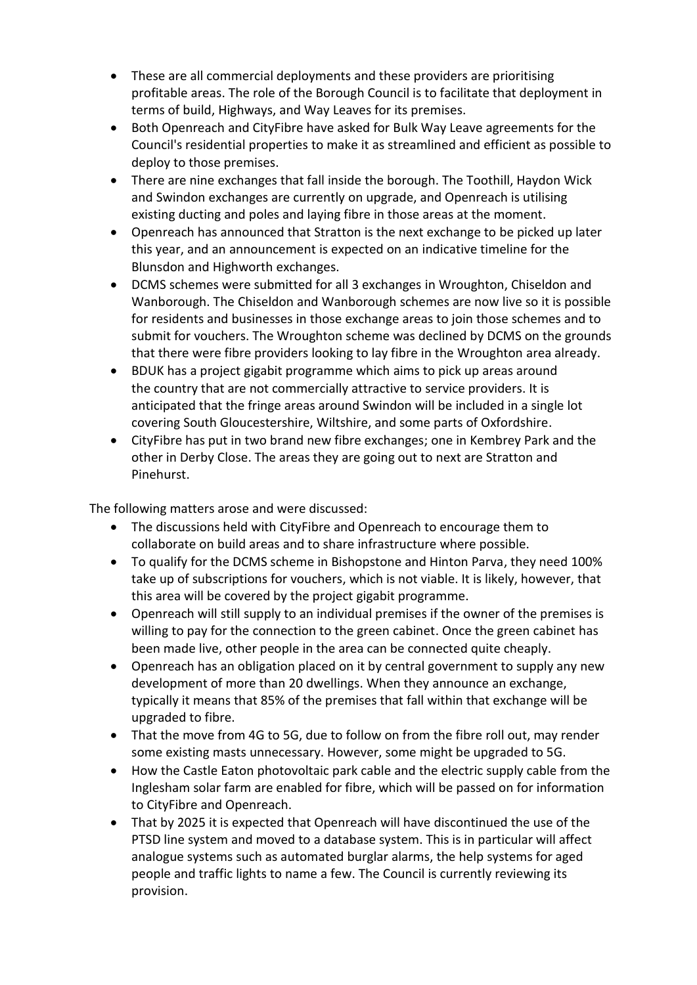- These are all commercial deployments and these providers are prioritising profitable areas. The role of the Borough Council is to facilitate that deployment in terms of build, Highways, and Way Leaves for its premises.
- Both Openreach and CityFibre have asked for Bulk Way Leave agreements for the Council's residential properties to make it as streamlined and efficient as possible to deploy to those premises.
- There are nine exchanges that fall inside the borough. The Toothill, Haydon Wick and Swindon exchanges are currently on upgrade, and Openreach is utilising existing ducting and poles and laying fibre in those areas at the moment.
- Openreach has announced that Stratton is the next exchange to be picked up later this year, and an announcement is expected on an indicative timeline for the Blunsdon and Highworth exchanges.
- DCMS schemes were submitted for all 3 exchanges in Wroughton, Chiseldon and Wanborough. The Chiseldon and Wanborough schemes are now live so it is possible for residents and businesses in those exchange areas to join those schemes and to submit for vouchers. The Wroughton scheme was declined by DCMS on the grounds that there were fibre providers looking to lay fibre in the Wroughton area already.
- BDUK has a project gigabit programme which aims to pick up areas around the country that are not commercially attractive to service providers. It is anticipated that the fringe areas around Swindon will be included in a single lot covering South Gloucestershire, Wiltshire, and some parts of Oxfordshire.
- CityFibre has put in two brand new fibre exchanges; one in Kembrey Park and the other in Derby Close. The areas they are going out to next are Stratton and Pinehurst.

The following matters arose and were discussed:

- The discussions held with CityFibre and Openreach to encourage them to collaborate on build areas and to share infrastructure where possible.
- To qualify for the DCMS scheme in Bishopstone and Hinton Parva, they need 100% take up of subscriptions for vouchers, which is not viable. It is likely, however, that this area will be covered by the project gigabit programme.
- Openreach will still supply to an individual premises if the owner of the premises is willing to pay for the connection to the green cabinet. Once the green cabinet has been made live, other people in the area can be connected quite cheaply.
- Openreach has an obligation placed on it by central government to supply any new development of more than 20 dwellings. When they announce an exchange, typically it means that 85% of the premises that fall within that exchange will be upgraded to fibre.
- That the move from 4G to 5G, due to follow on from the fibre roll out, may render some existing masts unnecessary. However, some might be upgraded to 5G.
- How the Castle Eaton photovoltaic park cable and the electric supply cable from the Inglesham solar farm are enabled for fibre, which will be passed on for information to CityFibre and Openreach.
- That by 2025 it is expected that Openreach will have discontinued the use of the PTSD line system and moved to a database system. This is in particular will affect analogue systems such as automated burglar alarms, the help systems for aged people and traffic lights to name a few. The Council is currently reviewing its provision.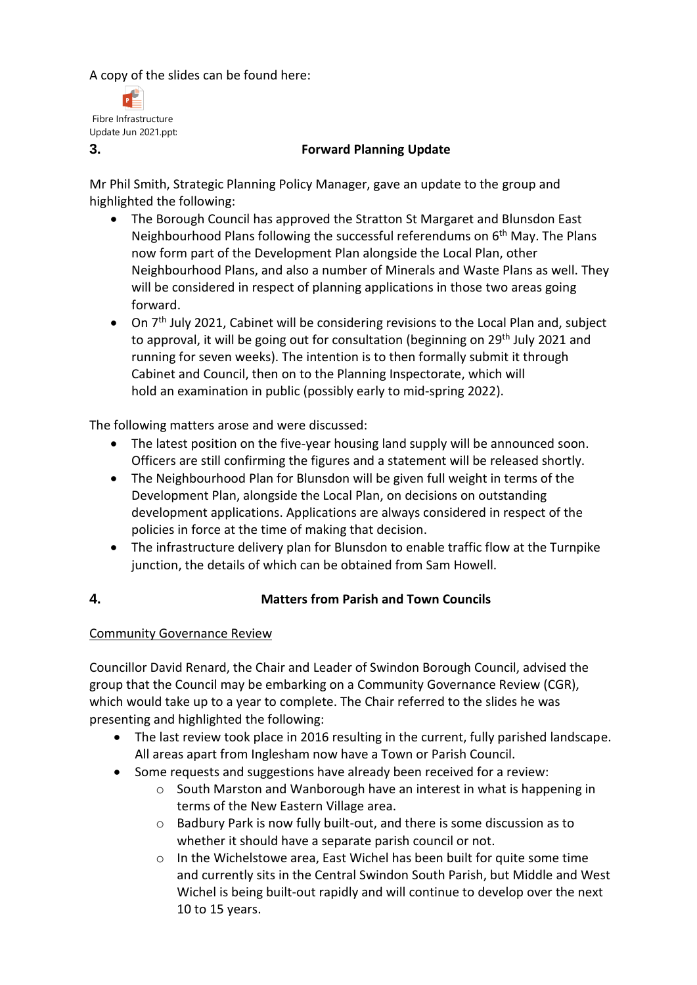A copy of the slides can be found here:



## **3. Forward Planning Update**

Mr Phil Smith, Strategic Planning Policy Manager, gave an update to the group and highlighted the following:

- The Borough Council has approved the Stratton St Margaret and Blunsdon East Neighbourhood Plans following the successful referendums on  $6<sup>th</sup>$  May. The Plans now form part of the Development Plan alongside the Local Plan, other Neighbourhood Plans, and also a number of Minerals and Waste Plans as well. They will be considered in respect of planning applications in those two areas going forward.
- On 7<sup>th</sup> July 2021, Cabinet will be considering revisions to the Local Plan and, subject to approval, it will be going out for consultation (beginning on 29<sup>th</sup> July 2021 and running for seven weeks). The intention is to then formally submit it through Cabinet and Council, then on to the Planning Inspectorate, which will hold an examination in public (possibly early to mid-spring 2022).

The following matters arose and were discussed:

- The latest position on the five-year housing land supply will be announced soon. Officers are still confirming the figures and a statement will be released shortly.
- The Neighbourhood Plan for Blunsdon will be given full weight in terms of the Development Plan, alongside the Local Plan, on decisions on outstanding development applications. Applications are always considered in respect of the policies in force at the time of making that decision.
- The infrastructure delivery plan for Blunsdon to enable traffic flow at the Turnpike junction, the details of which can be obtained from Sam Howell.
- 

# **4. Matters from Parish and Town Councils**

# Community Governance Review

Councillor David Renard, the Chair and Leader of Swindon Borough Council, advised the group that the Council may be embarking on a Community Governance Review (CGR), which would take up to a year to complete. The Chair referred to the slides he was presenting and highlighted the following:

- The last review took place in 2016 resulting in the current, fully parished landscape. All areas apart from Inglesham now have a Town or Parish Council.
- Some requests and suggestions have already been received for a review:
	- $\circ$  South Marston and Wanborough have an interest in what is happening in terms of the New Eastern Village area.
	- o Badbury Park is now fully built-out, and there is some discussion as to whether it should have a separate parish council or not.
	- o In the Wichelstowe area, East Wichel has been built for quite some time and currently sits in the Central Swindon South Parish, but Middle and West Wichel is being built-out rapidly and will continue to develop over the next 10 to 15 years.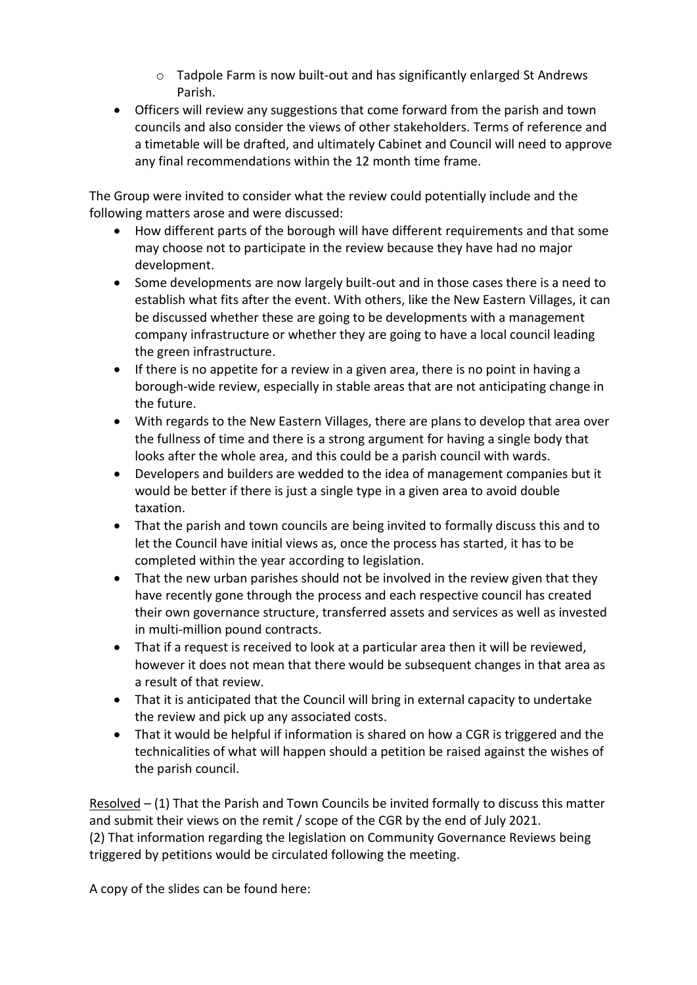- $\circ$  Tadpole Farm is now built-out and has significantly enlarged St Andrews Parish.
- Officers will review any suggestions that come forward from the parish and town councils and also consider the views of other stakeholders. Terms of reference and a timetable will be drafted, and ultimately Cabinet and Council will need to approve any final recommendations within the 12 month time frame.

The Group were invited to consider what the review could potentially include and the following matters arose and were discussed:

- How different parts of the borough will have different requirements and that some may choose not to participate in the review because they have had no major development.
- Some developments are now largely built-out and in those cases there is a need to establish what fits after the event. With others, like the New Eastern Villages, it can be discussed whether these are going to be developments with a management company infrastructure or whether they are going to have a local council leading the green infrastructure.
- $\bullet$  If there is no appetite for a review in a given area, there is no point in having a borough-wide review, especially in stable areas that are not anticipating change in the future.
- With regards to the New Eastern Villages, there are plans to develop that area over the fullness of time and there is a strong argument for having a single body that looks after the whole area, and this could be a parish council with wards.
- Developers and builders are wedded to the idea of management companies but it would be better if there is just a single type in a given area to avoid double taxation.
- That the parish and town councils are being invited to formally discuss this and to let the Council have initial views as, once the process has started, it has to be completed within the year according to legislation.
- That the new urban parishes should not be involved in the review given that they have recently gone through the process and each respective council has created their own governance structure, transferred assets and services as well as invested in multi-million pound contracts.
- That if a request is received to look at a particular area then it will be reviewed, however it does not mean that there would be subsequent changes in that area as a result of that review.
- That it is anticipated that the Council will bring in external capacity to undertake the review and pick up any associated costs.
- That it would be helpful if information is shared on how a CGR is triggered and the technicalities of what will happen should a petition be raised against the wishes of the parish council.

Resolved – (1) That the Parish and Town Councils be invited formally to discuss this matter and submit their views on the remit / scope of the CGR by the end of July 2021. (2) That information regarding the legislation on Community Governance Reviews being triggered by petitions would be circulated following the meeting.

A copy of the slides can be found here: